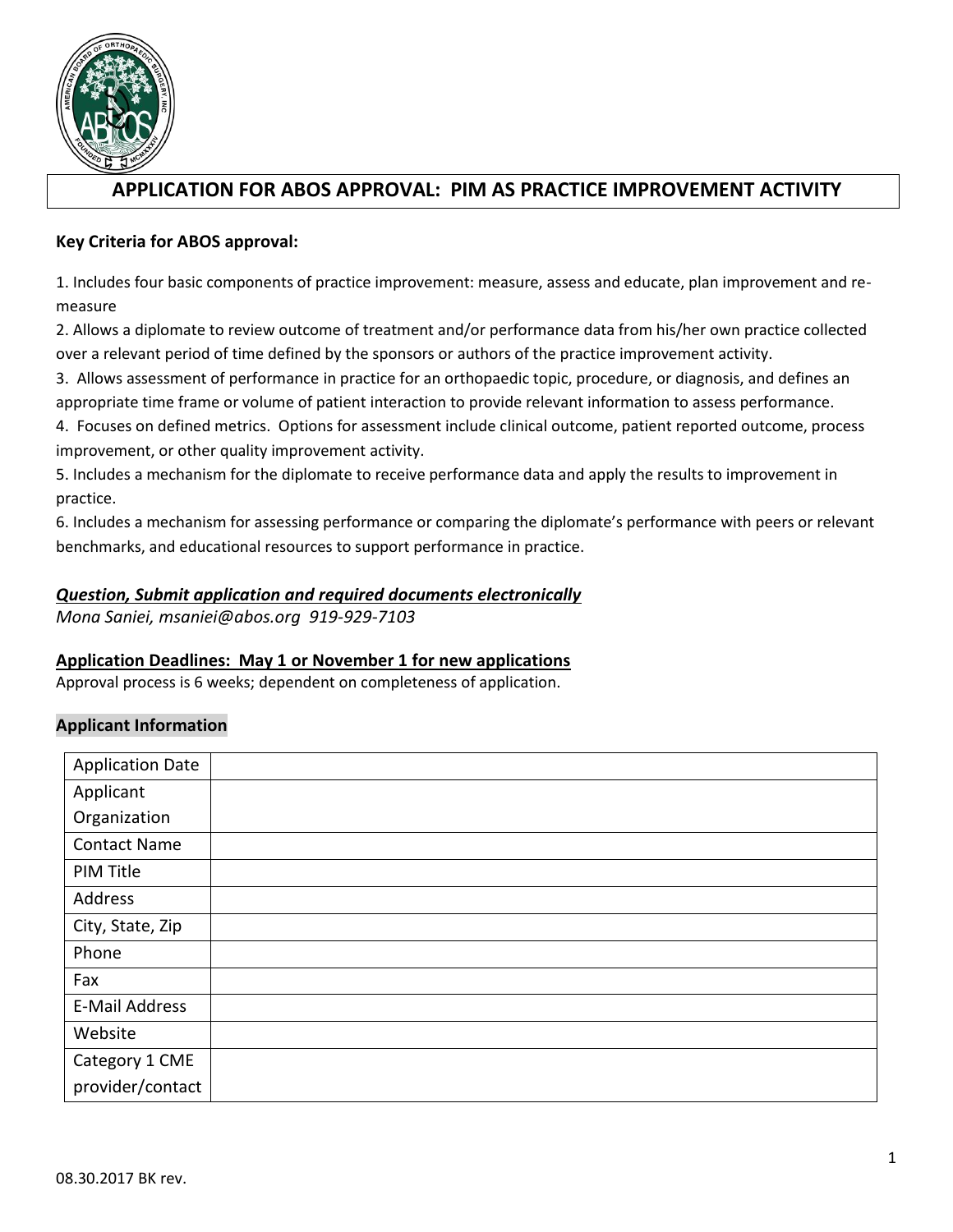

# **APPLICATION FOR ABOS APPROVAL: PIM AS PRACTICE IMPROVEMENT ACTIVITY**

# **Key Criteria for ABOS approval:**

1. Includes four basic components of practice improvement: measure, assess and educate, plan improvement and remeasure

2. Allows a diplomate to review outcome of treatment and/or performance data from his/her own practice collected over a relevant period of time defined by the sponsors or authors of the practice improvement activity.

3. Allows assessment of performance in practice for an orthopaedic topic, procedure, or diagnosis, and defines an appropriate time frame or volume of patient interaction to provide relevant information to assess performance.

4. Focuses on defined metrics. Options for assessment include clinical outcome, patient reported outcome, process improvement, or other quality improvement activity.

5. Includes a mechanism for the diplomate to receive performance data and apply the results to improvement in practice.

6. Includes a mechanism for assessing performance or comparing the diplomate's performance with peers or relevant benchmarks, and educational resources to support performance in practice.

# *Question, Submit application and required documents electronically*

*Mona Saniei, msaniei@abos.org 919-929-7103*

# **Application Deadlines: May 1 or November 1 for new applications**

Approval process is 6 weeks; dependent on completeness of application.

# **Applicant Information**

| <b>Application Date</b> |  |
|-------------------------|--|
| Applicant               |  |
| Organization            |  |
| <b>Contact Name</b>     |  |
| PIM Title               |  |
| Address                 |  |
| City, State, Zip        |  |
| Phone                   |  |
| Fax                     |  |
| <b>E-Mail Address</b>   |  |
| Website                 |  |
| Category 1 CME          |  |
| provider/contact        |  |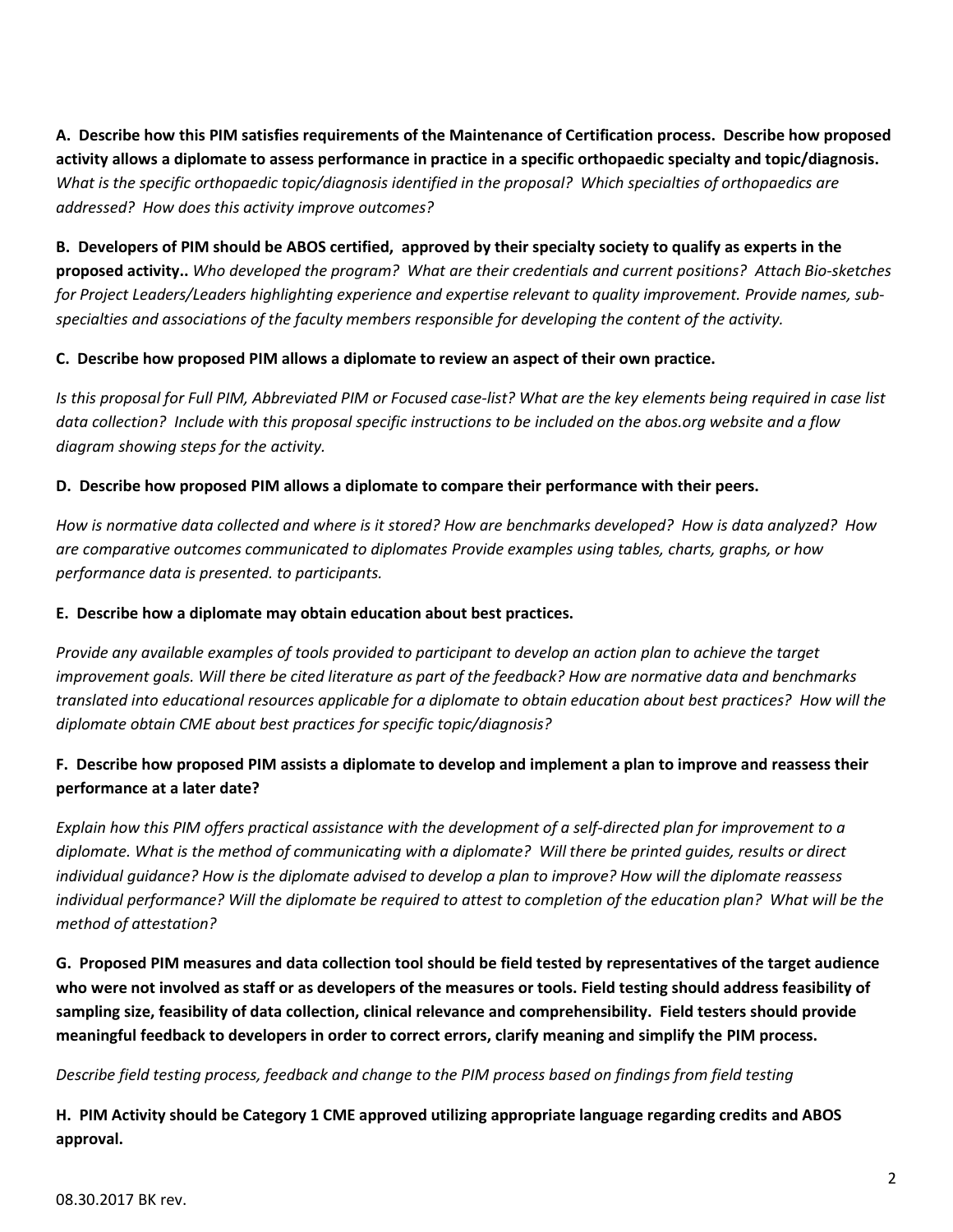**A. Describe how this PIM satisfies requirements of the Maintenance of Certification process. Describe how proposed activity allows a diplomate to assess performance in practice in a specific orthopaedic specialty and topic/diagnosis.**  *What is the specific orthopaedic topic/diagnosis identified in the proposal? Which specialties of orthopaedics are addressed? How does this activity improve outcomes?* 

**B. Developers of PIM should be ABOS certified, approved by their specialty society to qualify as experts in the proposed activity..** *Who developed the program? What are their credentials and current positions? Attach Bio-sketches for Project Leaders/Leaders highlighting experience and expertise relevant to quality improvement. Provide names, subspecialties and associations of the faculty members responsible for developing the content of the activity.*

#### **C. Describe how proposed PIM allows a diplomate to review an aspect of their own practice.**

*Is this proposal for Full PIM, Abbreviated PIM or Focused case-list? What are the key elements being required in case list data collection? Include with this proposal specific instructions to be included on the abos.org website and a flow diagram showing steps for the activity.* 

#### **D. Describe how proposed PIM allows a diplomate to compare their performance with their peers.**

*How is normative data collected and where is it stored? How are benchmarks developed? How is data analyzed? How are comparative outcomes communicated to diplomates Provide examples using tables, charts, graphs, or how performance data is presented. to participants.*

#### **E. Describe how a diplomate may obtain education about best practices.**

*Provide any available examples of tools provided to participant to develop an action plan to achieve the target improvement goals. Will there be cited literature as part of the feedback? How are normative data and benchmarks translated into educational resources applicable for a diplomate to obtain education about best practices? How will the diplomate obtain CME about best practices for specific topic/diagnosis?*

# **F. Describe how proposed PIM assists a diplomate to develop and implement a plan to improve and reassess their performance at a later date?**

*Explain how this PIM offers practical assistance with the development of a self-directed plan for improvement to a diplomate. What is the method of communicating with a diplomate? Will there be printed guides, results or direct individual guidance? How is the diplomate advised to develop a plan to improve? How will the diplomate reassess individual performance? Will the diplomate be required to attest to completion of the education plan? What will be the method of attestation?* 

**G. Proposed PIM measures and data collection tool should be field tested by representatives of the target audience who were not involved as staff or as developers of the measures or tools. Field testing should address feasibility of sampling size, feasibility of data collection, clinical relevance and comprehensibility. Field testers should provide meaningful feedback to developers in order to correct errors, clarify meaning and simplify the PIM process.** 

# *Describe field testing process, feedback and change to the PIM process based on findings from field testing*

**H. PIM Activity should be Category 1 CME approved utilizing appropriate language regarding credits and ABOS approval.**